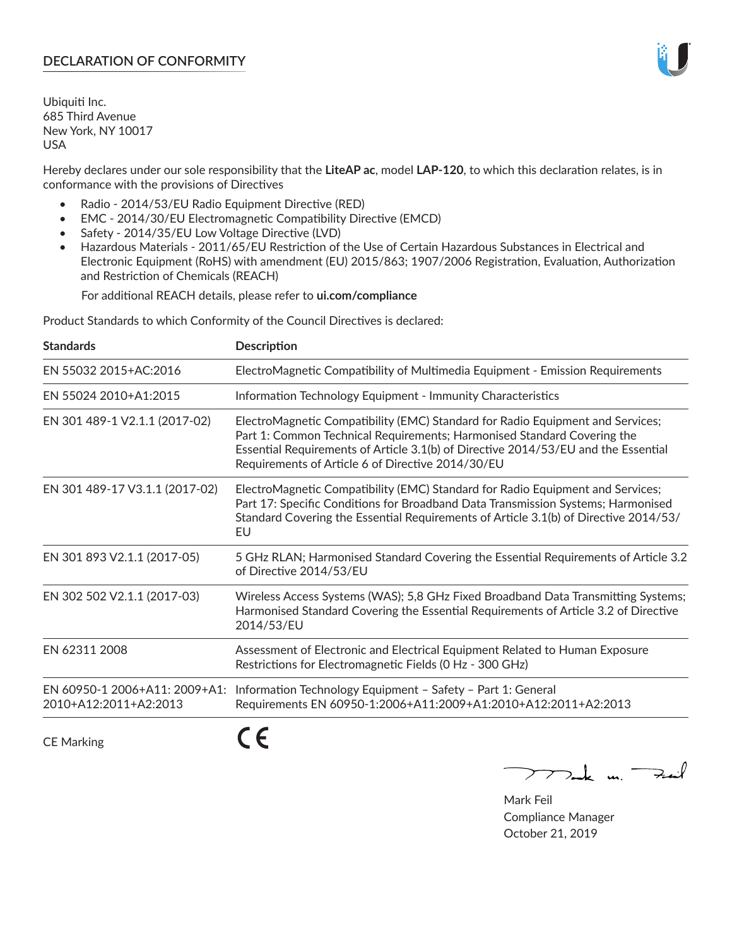## **DECLARATION OF CONFORMITY**

Ubiquiti Inc. 685 Third Avenue New York, NY 10017 USA

Hereby declares under our sole responsibility that the **LiteAP ac**, model **LAP-120**, to which this declaration relates, is in conformance with the provisions of Directives

- Radio 2014/53/EU Radio Equipment Directive (RED)
- EMC 2014/30/EU Electromagnetic Compatibility Directive (EMCD)
- Safety 2014/35/EU Low Voltage Directive (LVD)
- Hazardous Materials 2011/65/EU Restriction of the Use of Certain Hazardous Substances in Electrical and Electronic Equipment (RoHS) with amendment (EU) 2015/863; 1907/2006 Registration, Evaluation, Authorization and Restriction of Chemicals (REACH)

For additional REACH details, please refer to **ui.com/compliance**

Product Standards to which Conformity of the Council Directives is declared:

| <b>Standards</b>                                       | <b>Description</b>                                                                                                                                                                                                                                                                                   |
|--------------------------------------------------------|------------------------------------------------------------------------------------------------------------------------------------------------------------------------------------------------------------------------------------------------------------------------------------------------------|
| EN 55032 2015+AC:2016                                  | ElectroMagnetic Compatibility of Multimedia Equipment - Emission Requirements                                                                                                                                                                                                                        |
| EN 55024 2010+A1:2015                                  | Information Technology Equipment - Immunity Characteristics                                                                                                                                                                                                                                          |
| EN 301 489-1 V2.1.1 (2017-02)                          | ElectroMagnetic Compatibility (EMC) Standard for Radio Equipment and Services;<br>Part 1: Common Technical Requirements; Harmonised Standard Covering the<br>Essential Requirements of Article 3.1(b) of Directive 2014/53/EU and the Essential<br>Requirements of Article 6 of Directive 2014/30/EU |
| EN 301 489-17 V3.1.1 (2017-02)                         | ElectroMagnetic Compatibility (EMC) Standard for Radio Equipment and Services;<br>Part 17: Specific Conditions for Broadband Data Transmission Systems; Harmonised<br>Standard Covering the Essential Requirements of Article 3.1(b) of Directive 2014/53/<br>EU                                     |
| EN 301 893 V2.1.1 (2017-05)                            | 5 GHz RLAN; Harmonised Standard Covering the Essential Requirements of Article 3.2<br>of Directive 2014/53/EU                                                                                                                                                                                        |
| EN 302 502 V2.1.1 (2017-03)                            | Wireless Access Systems (WAS); 5,8 GHz Fixed Broadband Data Transmitting Systems;<br>Harmonised Standard Covering the Essential Requirements of Article 3.2 of Directive<br>2014/53/EU                                                                                                               |
| EN 62311 2008                                          | Assessment of Electronic and Electrical Equipment Related to Human Exposure<br>Restrictions for Electromagnetic Fields (0 Hz - 300 GHz)                                                                                                                                                              |
| EN 60950-1 2006+A11: 2009+A1:<br>2010+A12:2011+A2:2013 | Information Technology Equipment - Safety - Part 1: General<br>Requirements EN 60950-1:2006+A11:2009+A1:2010+A12:2011+A2:2013                                                                                                                                                                        |
|                                                        |                                                                                                                                                                                                                                                                                                      |

CE Marking

C C

mak m. Fuil

Mark Feil Compliance Manager October 21, 2019

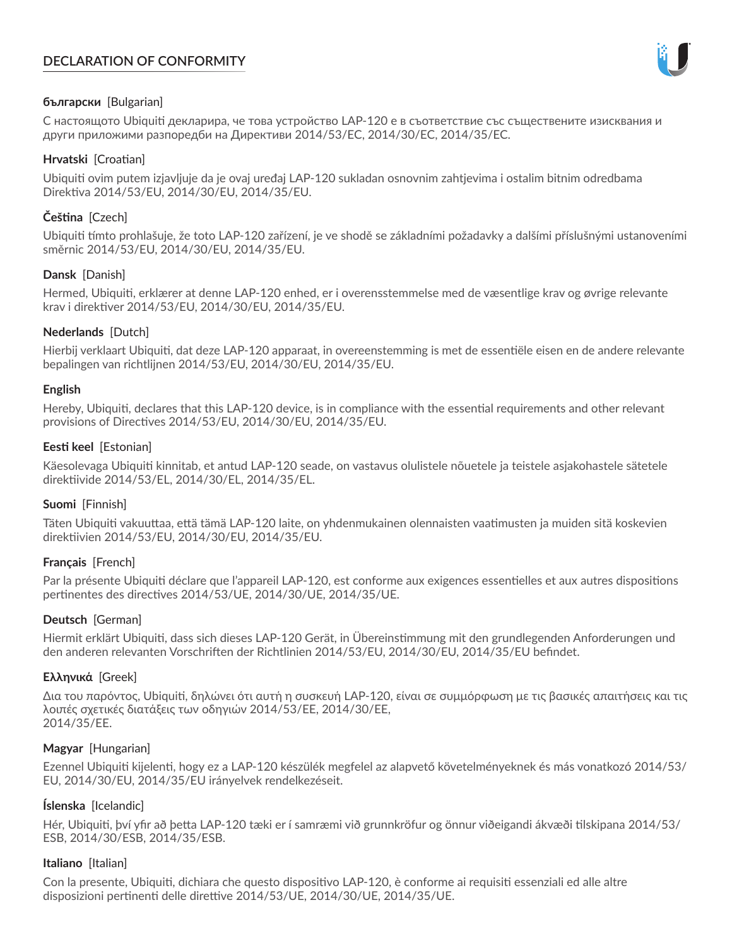# **DECLARATION OF CONFORMITY**



## **български** [Bulgarian]

С настоящото Ubiquiti декларира, че това устройство LAP-120 е в съответствие със съществените изисквания и други приложими разпоредби на Директиви 2014/53/EC, 2014/30/ЕС, 2014/35/ЕС.

## **Hrvatski** [Croatian]

Ubiquiti ovim putem izjavljuje da je ovaj uređaj LAP-120 sukladan osnovnim zahtjevima i ostalim bitnim odredbama Direktiva 2014/53/EU, 2014/30/EU, 2014/35/EU.

## **Čeština** [Czech]

Ubiquiti tímto prohlašuje, že toto LAP-120 zařízení, je ve shodě se základními požadavky a dalšími příslušnými ustanoveními směrnic 2014/53/EU, 2014/30/EU, 2014/35/EU.

## **Dansk** [Danish]

Hermed, Ubiquiti, erklærer at denne LAP-120 enhed, er i overensstemmelse med de væsentlige krav og øvrige relevante krav i direktiver 2014/53/EU, 2014/30/EU, 2014/35/EU.

## **Nederlands** [Dutch]

Hierbij verklaart Ubiquiti, dat deze LAP-120 apparaat, in overeenstemming is met de essentiële eisen en de andere relevante bepalingen van richtlijnen 2014/53/EU, 2014/30/EU, 2014/35/EU.

## **English**

Hereby, Ubiquiti, declares that this LAP-120 device, is in compliance with the essential requirements and other relevant provisions of Directives 2014/53/EU, 2014/30/EU, 2014/35/EU.

## **Eesti keel** [Estonian]

Käesolevaga Ubiquiti kinnitab, et antud LAP-120 seade, on vastavus olulistele nõuetele ja teistele asjakohastele sätetele direktiivide 2014/53/EL, 2014/30/EL, 2014/35/EL.

## **Suomi** [Finnish]

Täten Ubiquiti vakuuttaa, että tämä LAP-120 laite, on yhdenmukainen olennaisten vaatimusten ja muiden sitä koskevien direktiivien 2014/53/EU, 2014/30/EU, 2014/35/EU.

## **Français** [French]

Par la présente Ubiquiti déclare que l'appareil LAP-120, est conforme aux exigences essentielles et aux autres dispositions pertinentes des directives 2014/53/UE, 2014/30/UE, 2014/35/UE.

## **Deutsch** [German]

Hiermit erklärt Ubiquiti, dass sich dieses LAP-120 Gerät, in Übereinstimmung mit den grundlegenden Anforderungen und den anderen relevanten Vorschriften der Richtlinien 2014/53/EU, 2014/30/EU, 2014/35/EU befindet.

## **Ελληνικά** [Greek]

Δια του παρόντος, Ubiquiti, δηλώνει ότι αυτή η συσκευή LAP-120, είναι σε συμμόρφωση με τις βασικές απαιτήσεις και τις λοιπές σχετικές διατάξεις των οδηγιών 2014/53/EE, 2014/30/EE, 2014/35/EE.

## **Magyar** [Hungarian]

Ezennel Ubiquiti kijelenti, hogy ez a LAP-120 készülék megfelel az alapvető követelményeknek és más vonatkozó 2014/53/ EU, 2014/30/EU, 2014/35/EU irányelvek rendelkezéseit.

## **Íslenska** [Icelandic]

Hér, Ubiquiti, því yfir að þetta LAP-120 tæki er í samræmi við grunnkröfur og önnur viðeigandi ákvæði tilskipana 2014/53/ ESB, 2014/30/ESB, 2014/35/ESB.

## **Italiano** [Italian]

Con la presente, Ubiquiti, dichiara che questo dispositivo LAP-120, è conforme ai requisiti essenziali ed alle altre disposizioni pertinenti delle direttive 2014/53/UE, 2014/30/UE, 2014/35/UE.